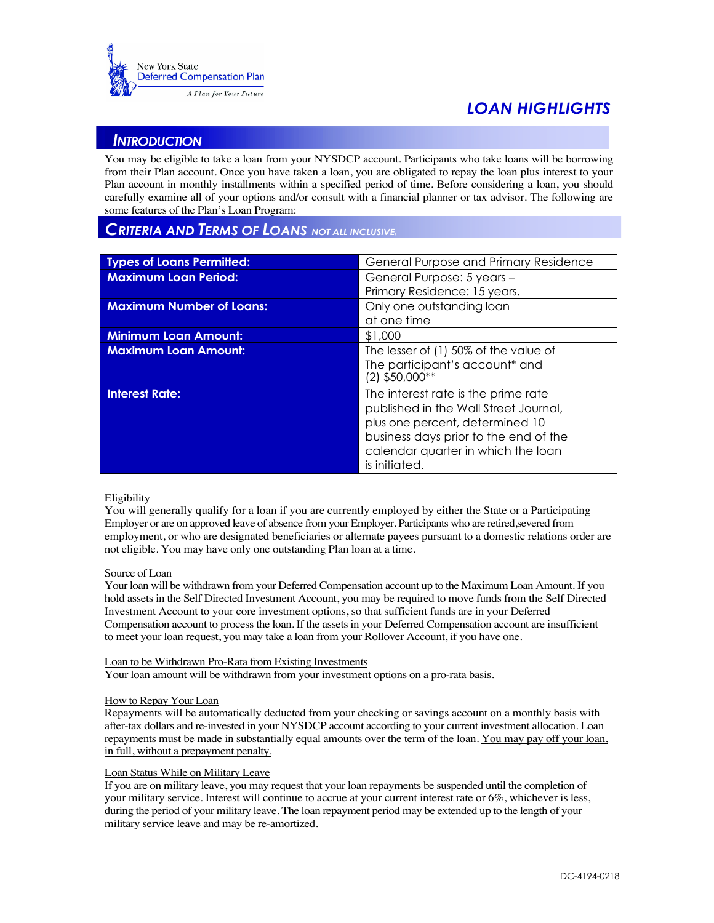

# *LOAN HIGHLIGHTS*

## *INTRODUCTION*

You may be eligible to take a loan from your NYSDCP account. Participants who take loans will be borrowing from their Plan account. Once you have taken a loan, you are obligated to repay the loan plus interest to your Plan account in monthly installments within a specified period of time. Before considering a loan, you should carefully examine all of your options and/or consult with a financial planner or tax advisor. The following are some features of the Plan's Loan Program:

## *CRITERIA AND TERMS OF LOANS (NOT ALL INCLUSIVE)*

| <b>Types of Loans Permitted:</b> | General Purpose and Primary Residence            |
|----------------------------------|--------------------------------------------------|
| <b>Maximum Loan Period:</b>      | General Purpose: 5 years -                       |
|                                  | Primary Residence: 15 years.                     |
| <b>Maximum Number of Loans:</b>  | Only one outstanding loan                        |
|                                  | at one time                                      |
| <b>Minimum Loan Amount:</b>      | \$1,000                                          |
| <b>Maximum Loan Amount:</b>      | The lesser of (1) 50% of the value of            |
|                                  | The participant's account* and<br>(2) \$50,000** |
| <b>Interest Rate:</b>            | The interest rate is the prime rate              |
|                                  | published in the Wall Street Journal,            |
|                                  | plus one percent, determined 10                  |
|                                  | business days prior to the end of the            |
|                                  | calendar quarter in which the loan               |
|                                  | is initiated.                                    |

#### Eligibility

You will generally qualify for a loan if you are currently employed by either the State or a Participating Employer or are on approved leave of absence from your Employer. Participants who are retired,severed from employment, or who are designated beneficiaries or alternate payees pursuant to a domestic relations order are not eligible. You may have only one outstanding Plan loan at a time.

### Source of Loan

Your loan will be withdrawn from your Deferred Compensation account up to the Maximum Loan Amount. If you hold assets in the Self Directed Investment Account, you may be required to move funds from the Self Directed Investment Account to your core investment options, so that sufficient funds are in your Deferred Compensation account to process the loan. If the assets in your Deferred Compensation account are insufficient to meet your loan request, you may take a loan from your Rollover Account, if you have one.

#### Loan to be Withdrawn Pro-Rata from Existing Investments

Your loan amount will be withdrawn from your investment options on a pro-rata basis.

#### How to Repay Your Loan

Repayments will be automatically deducted from your checking or savings account on a monthly basis with after-tax dollars and re-invested in your NYSDCP account according to your current investment allocation. Loan repayments must be made in substantially equal amounts over the term of the loan. You may pay off your loan, in full, without a prepayment penalty.

#### Loan Status While on Military Leave

If you are on military leave, you may request that your loan repayments be suspended until the completion of your military service. Interest will continue to accrue at your current interest rate or 6%, whichever is less, during the period of your military leave. The loan repayment period may be extended up to the length of your military service leave and may be re-amortized.